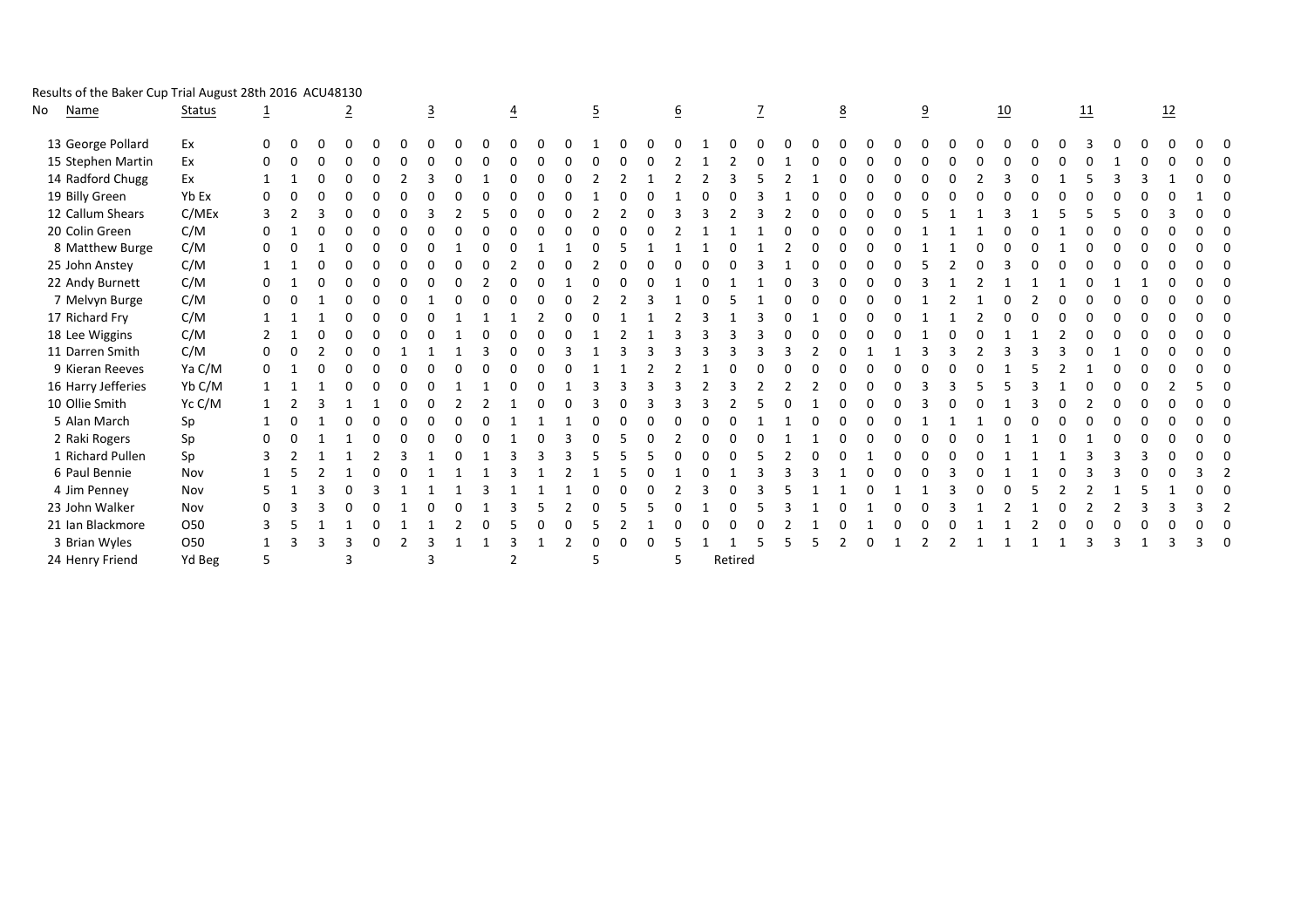| Results of the Baker Cup Trial August 28th 2016 ACU48130 |
|----------------------------------------------------------|
|----------------------------------------------------------|

| No | <b>Name</b>        | <b>Status</b>   | $\overline{1}$ |   | $\overline{2}$ |   | $\overline{3}$ |  | $\overline{4}$ |   | $\overline{5}$ |  | $\underline{6}$ |         |   |  | $\underline{8}$ |   | $\overline{a}$ |   | 10       |  | 11       |          | 12 |  |
|----|--------------------|-----------------|----------------|---|----------------|---|----------------|--|----------------|---|----------------|--|-----------------|---------|---|--|-----------------|---|----------------|---|----------|--|----------|----------|----|--|
|    | 13 George Pollard  | Ex              | $\Omega$       |   |                |   |                |  |                |   |                |  |                 |         |   |  |                 |   |                |   |          |  |          |          |    |  |
|    | 15 Stephen Martin  | Ex              | 0              |   | $\Omega$       |   |                |  |                |   |                |  |                 |         |   |  |                 | O |                |   | $\Omega$ |  |          | ∩        |    |  |
|    | 14 Radford Chugg   | Ex              |                |   | $\Omega$       |   |                |  |                |   |                |  |                 |         |   |  |                 | 0 |                |   |          |  |          |          |    |  |
|    | 19 Billy Green     | Yb Ex           | 0              |   | $\Omega$       |   |                |  |                |   |                |  |                 |         |   |  |                 | 0 |                | ∩ | n        |  |          |          |    |  |
|    | 12 Callum Shears   | C/MEx           | 3              |   | $\Omega$       |   |                |  |                | O |                |  |                 |         |   |  |                 | U |                |   |          |  |          |          |    |  |
|    | 20 Colin Green     | C/M             | 0              |   | 0              | 0 | $\Omega$       |  | 0              |   |                |  |                 |         |   |  |                 |   |                |   | $\Omega$ |  | $\Omega$ | $\Omega$ |    |  |
|    | 8 Matthew Burge    | C/M             | $\Omega$       |   | $\Omega$       | 0 |                |  |                |   |                |  |                 |         |   |  |                 | ŋ |                |   |          |  |          |          |    |  |
|    | 25 John Anstey     | C/M             |                |   | <sup>0</sup>   |   |                |  |                |   |                |  |                 |         |   |  |                 |   |                |   |          |  |          |          |    |  |
|    | 22 Andy Burnett    | C/M             | 0              |   | $\Omega$       |   |                |  |                |   |                |  |                 |         |   |  |                 | ŋ |                |   |          |  |          |          |    |  |
|    | 7 Melvyn Burge     | C/M             | 0              |   | $\Omega$       |   |                |  |                |   |                |  |                 |         |   |  |                 |   |                |   | O        |  | $\Omega$ | ∩        |    |  |
|    | 17 Richard Fry     | C/M             |                |   | $\Omega$       |   |                |  |                |   |                |  |                 |         |   |  |                 |   |                |   |          |  |          |          |    |  |
|    | 18 Lee Wiggins     | C/M             |                |   | $\Omega$       |   |                |  |                |   |                |  |                 |         |   |  |                 |   |                |   |          |  |          | ŋ        |    |  |
|    | 11 Darren Smith    | C/M             | 0              | O | $\Omega$       |   |                |  | <sup>0</sup>   |   |                |  |                 |         |   |  |                 |   |                |   |          |  |          |          |    |  |
|    | 9 Kieran Reeves    | Ya C/M          | 0              |   | $\Omega$       |   |                |  | n              |   |                |  |                 |         | C |  |                 | 0 |                |   |          |  |          | $\Omega$ |    |  |
|    | 16 Harry Jefferies | Yb C/M          |                |   | $\Omega$       |   |                |  |                |   |                |  |                 |         |   |  |                 |   |                |   |          |  |          |          |    |  |
|    | 10 Ollie Smith     | Yc C/M          |                |   |                |   |                |  |                |   |                |  |                 |         |   |  |                 |   |                |   |          |  |          |          |    |  |
|    | 5 Alan March       | Sp              |                |   | <sup>0</sup>   |   |                |  |                |   |                |  | O               |         |   |  |                 |   |                |   |          |  |          |          |    |  |
|    | 2 Raki Rogers      | Sp              | 0              |   |                | 0 |                |  |                |   |                |  |                 |         |   |  |                 | 0 |                |   |          |  |          | $\Omega$ |    |  |
|    | 1 Richard Pullen   | Sp              |                |   |                |   |                |  |                |   |                |  | $\Omega$        |         |   |  |                 |   |                |   |          |  |          | 3        |    |  |
|    | 6 Paul Bennie      | Nov             |                |   |                |   |                |  |                |   |                |  |                 |         | 3 |  |                 | 0 |                |   |          |  |          | ŋ        |    |  |
|    | 4 Jim Penney       | Nov             | 5              |   |                |   |                |  |                |   |                |  |                 |         |   |  |                 |   |                |   |          |  |          |          |    |  |
|    | 23 John Walker     | Nov             | 0              |   | $\Omega$       |   |                |  |                |   |                |  | 0               |         |   |  |                 |   |                |   |          |  |          |          |    |  |
|    | 21 Ian Blackmore   | O <sub>50</sub> | 3              |   |                |   |                |  |                |   |                |  | O               |         |   |  |                 |   |                |   |          |  | $\Omega$ | $\Omega$ | 0  |  |
|    | 3 Brian Wyles      | 050             |                |   |                |   |                |  |                |   | 0              |  |                 |         |   |  |                 | 0 |                |   |          |  |          |          |    |  |
|    | 24 Henry Friend    | Yd Beg          | 5              |   | 3              |   | 3              |  |                |   | 5              |  | 5               | Retired |   |  |                 |   |                |   |          |  |          |          |    |  |
|    |                    |                 |                |   |                |   |                |  |                |   |                |  |                 |         |   |  |                 |   |                |   |          |  |          |          |    |  |